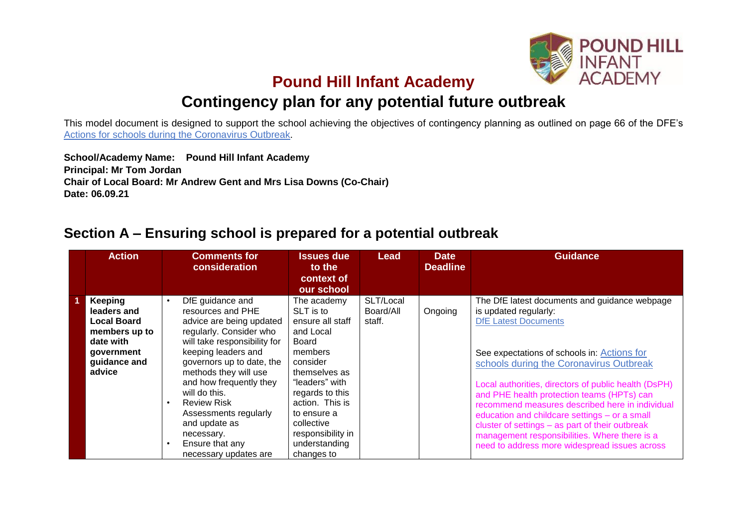

## **Pound Hill Infant Academy**

# **Contingency plan for any potential future outbreak**

This model document is designed to support the school achieving the objectives of contingency planning as outlined on page 66 of the DFE's [Actions for schools during the Coronavirus Outbreak.](https://www.gov.uk/government/publications/actions-for-schools-during-the-coronavirus-outbreak/schools-coronavirus-covid-19-operational-guidance)

**School/Academy Name: Pound Hill Infant Academy Principal: Mr Tom Jordan Chair of Local Board: Mr Andrew Gent and Mrs Lisa Downs (Co-Chair) Date: 06.09.21**

## **Section A – Ensuring school is prepared for a potential outbreak**

| <b>Action</b>                                                                                                      | <b>Comments for</b><br>consideration                                                                                                                                                                                                                                                                                                                                                                      | <b>Issues due</b><br>to the<br>context of<br>our school                                                                                                                                                                                             | Lead                             | <b>Date</b><br><b>Deadline</b> | <b>Guidance</b>                                                                                                                                                                                                                                                                                                                                                                                                                                                                                                                                                |
|--------------------------------------------------------------------------------------------------------------------|-----------------------------------------------------------------------------------------------------------------------------------------------------------------------------------------------------------------------------------------------------------------------------------------------------------------------------------------------------------------------------------------------------------|-----------------------------------------------------------------------------------------------------------------------------------------------------------------------------------------------------------------------------------------------------|----------------------------------|--------------------------------|----------------------------------------------------------------------------------------------------------------------------------------------------------------------------------------------------------------------------------------------------------------------------------------------------------------------------------------------------------------------------------------------------------------------------------------------------------------------------------------------------------------------------------------------------------------|
| Keeping<br>leaders and<br><b>Local Board</b><br>members up to<br>date with<br>qovernment<br>guidance and<br>advice | DfE guidance and<br>$\bullet$<br>resources and PHE<br>advice are being updated<br>regularly. Consider who<br>will take responsibility for<br>keeping leaders and<br>governors up to date, the<br>methods they will use<br>and how frequently they<br>will do this.<br><b>Review Risk</b><br>$\bullet$<br>Assessments regularly<br>and update as<br>necessary.<br>Ensure that any<br>necessary updates are | The academy<br>SLT is to<br>ensure all staff<br>and Local<br>Board<br>members<br>consider<br>themselves as<br>"leaders" with<br>regards to this<br>action. This is<br>to ensure a<br>collective<br>responsibility in<br>understanding<br>changes to | SLT/Local<br>Board/All<br>staff. | Ongoing                        | The DfE latest documents and guidance webpage<br>is updated regularly:<br><b>DfE Latest Documents</b><br>See expectations of schools in: Actions for<br>schools during the Coronavirus Outbreak<br>Local authorities, directors of public health (DsPH)<br>and PHE health protection teams (HPTs) can<br>recommend measures described here in individual<br>education and childcare settings - or a small<br>cluster of settings - as part of their outbreak<br>management responsibilities. Where there is a<br>need to address more widespread issues across |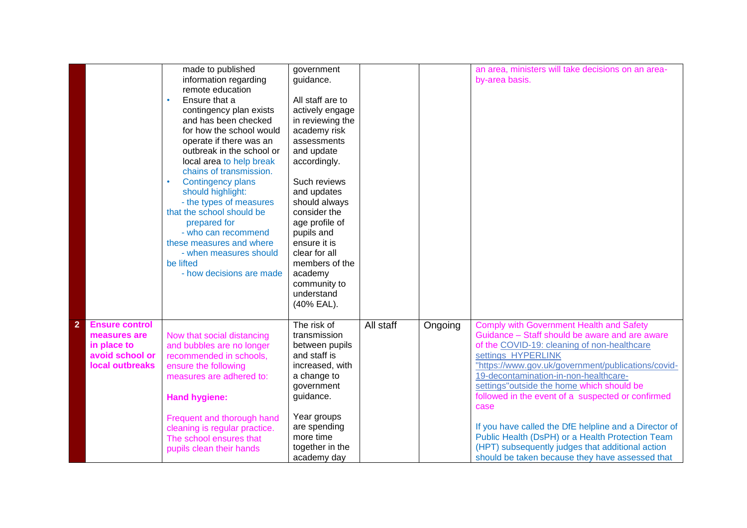|                |                       | made to published             | government       |           |         | an area, ministers will take decisions on an area-    |
|----------------|-----------------------|-------------------------------|------------------|-----------|---------|-------------------------------------------------------|
|                |                       | information regarding         | guidance.        |           |         | by-area basis.                                        |
|                |                       | remote education              |                  |           |         |                                                       |
|                |                       | Ensure that a                 | All staff are to |           |         |                                                       |
|                |                       | contingency plan exists       | actively engage  |           |         |                                                       |
|                |                       | and has been checked          | in reviewing the |           |         |                                                       |
|                |                       | for how the school would      | academy risk     |           |         |                                                       |
|                |                       | operate if there was an       | assessments      |           |         |                                                       |
|                |                       | outbreak in the school or     | and update       |           |         |                                                       |
|                |                       | local area to help break      | accordingly.     |           |         |                                                       |
|                |                       | chains of transmission.       |                  |           |         |                                                       |
|                |                       | <b>Contingency plans</b>      | Such reviews     |           |         |                                                       |
|                |                       | should highlight:             | and updates      |           |         |                                                       |
|                |                       | - the types of measures       | should always    |           |         |                                                       |
|                |                       | that the school should be     | consider the     |           |         |                                                       |
|                |                       | prepared for                  | age profile of   |           |         |                                                       |
|                |                       | - who can recommend           | pupils and       |           |         |                                                       |
|                |                       | these measures and where      | ensure it is     |           |         |                                                       |
|                |                       | - when measures should        | clear for all    |           |         |                                                       |
|                |                       | be lifted                     | members of the   |           |         |                                                       |
|                |                       | - how decisions are made      | academy          |           |         |                                                       |
|                |                       |                               | community to     |           |         |                                                       |
|                |                       |                               | understand       |           |         |                                                       |
|                |                       |                               | (40% EAL).       |           |         |                                                       |
|                |                       |                               |                  |           |         |                                                       |
| $\overline{2}$ | <b>Ensure control</b> |                               | The risk of      | All staff | Ongoing | <b>Comply with Government Health and Safety</b>       |
|                | measures are          | Now that social distancing    | transmission     |           |         | Guidance - Staff should be aware and are aware        |
|                | in place to           | and bubbles are no longer     | between pupils   |           |         | of the COVID-19: cleaning of non-healthcare           |
|                | avoid school or       | recommended in schools,       | and staff is     |           |         | settings HYPERLINK                                    |
|                | local outbreaks       | ensure the following          | increased, with  |           |         | "https://www.gov.uk/government/publications/covid-    |
|                |                       | measures are adhered to:      | a change to      |           |         | 19-decontamination-in-non-healthcare-                 |
|                |                       |                               | government       |           |         | settings"outside the home which should be             |
|                |                       | <b>Hand hygiene:</b>          | guidance.        |           |         | followed in the event of a suspected or confirmed     |
|                |                       |                               |                  |           |         | case                                                  |
|                |                       | Frequent and thorough hand    | Year groups      |           |         |                                                       |
|                |                       | cleaning is regular practice. | are spending     |           |         | If you have called the DfE helpline and a Director of |
|                |                       | The school ensures that       | more time        |           |         | Public Health (DsPH) or a Health Protection Team      |
|                |                       | pupils clean their hands      | together in the  |           |         | (HPT) subsequently judges that additional action      |
|                |                       |                               | academy day      |           |         | should be taken because they have assessed that       |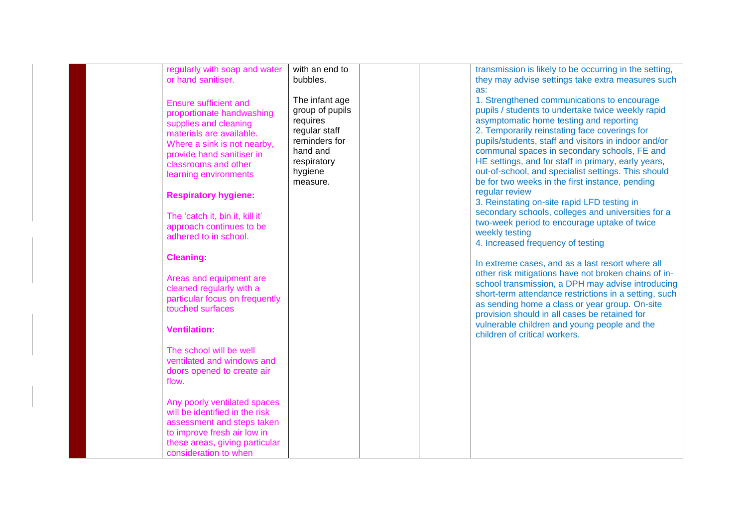| regularly with soap and water<br>or hand sanitiser.                                                                                                                                                                                                                                           | with an end to<br>bubbles.                                                                                                        | transmission is likely to be occurring in the setting,<br>they may advise settings take extra measures such                                                                                                                                                                                                                                                                                                                                                                                                                                                                                  |
|-----------------------------------------------------------------------------------------------------------------------------------------------------------------------------------------------------------------------------------------------------------------------------------------------|-----------------------------------------------------------------------------------------------------------------------------------|----------------------------------------------------------------------------------------------------------------------------------------------------------------------------------------------------------------------------------------------------------------------------------------------------------------------------------------------------------------------------------------------------------------------------------------------------------------------------------------------------------------------------------------------------------------------------------------------|
|                                                                                                                                                                                                                                                                                               |                                                                                                                                   | as:                                                                                                                                                                                                                                                                                                                                                                                                                                                                                                                                                                                          |
| <b>Ensure sufficient and</b><br>proportionate handwashing<br>supplies and cleaning<br>materials are available.<br>Where a sink is not nearby,<br>provide hand sanitiser in<br>classrooms and other<br>learning environments<br><b>Respiratory hygiene:</b><br>The 'catch it, bin it, kill it' | The infant age<br>group of pupils<br>requires<br>regular staff<br>reminders for<br>hand and<br>respiratory<br>hygiene<br>measure. | 1. Strengthened communications to encourage<br>pupils / students to undertake twice weekly rapid<br>asymptomatic home testing and reporting<br>2. Temporarily reinstating face coverings for<br>pupils/students, staff and visitors in indoor and/or<br>communal spaces in secondary schools, FE and<br>HE settings, and for staff in primary, early years,<br>out-of-school, and specialist settings. This should<br>be for two weeks in the first instance, pending<br>regular review<br>3. Reinstating on-site rapid LFD testing in<br>secondary schools, colleges and universities for a |
| approach continues to be                                                                                                                                                                                                                                                                      |                                                                                                                                   | two-week period to encourage uptake of twice<br>weekly testing                                                                                                                                                                                                                                                                                                                                                                                                                                                                                                                               |
| adhered to in school.                                                                                                                                                                                                                                                                         |                                                                                                                                   | 4. Increased frequency of testing                                                                                                                                                                                                                                                                                                                                                                                                                                                                                                                                                            |
| <b>Cleaning:</b><br>Areas and equipment are<br>cleaned regularly with a<br>particular focus on frequently<br>touched surfaces                                                                                                                                                                 |                                                                                                                                   | In extreme cases, and as a last resort where all<br>other risk mitigations have not broken chains of in-<br>school transmission, a DPH may advise introducing<br>short-term attendance restrictions in a setting, such<br>as sending home a class or year group. On-site<br>provision should in all cases be retained for<br>vulnerable children and young people and the                                                                                                                                                                                                                    |
| <b>Ventilation:</b>                                                                                                                                                                                                                                                                           |                                                                                                                                   | children of critical workers.                                                                                                                                                                                                                                                                                                                                                                                                                                                                                                                                                                |
| The school will be well<br>ventilated and windows and<br>doors opened to create air<br>flow.                                                                                                                                                                                                  |                                                                                                                                   |                                                                                                                                                                                                                                                                                                                                                                                                                                                                                                                                                                                              |
| Any poorly ventilated spaces<br>will be identified in the risk<br>assessment and steps taken<br>to improve fresh air low in<br>these areas, giving particular<br>consideration to when                                                                                                        |                                                                                                                                   |                                                                                                                                                                                                                                                                                                                                                                                                                                                                                                                                                                                              |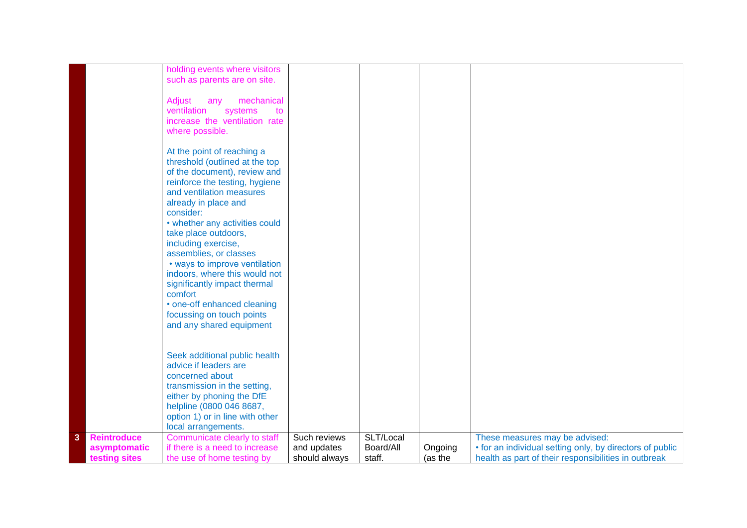|   |                    | holding events where visitors   |               |           |         |                                                          |
|---|--------------------|---------------------------------|---------------|-----------|---------|----------------------------------------------------------|
|   |                    |                                 |               |           |         |                                                          |
|   |                    | such as parents are on site.    |               |           |         |                                                          |
|   |                    |                                 |               |           |         |                                                          |
|   |                    | Adjust<br>mechanical<br>any     |               |           |         |                                                          |
|   |                    | ventilation<br>systems<br>to    |               |           |         |                                                          |
|   |                    | increase the ventilation rate   |               |           |         |                                                          |
|   |                    | where possible.                 |               |           |         |                                                          |
|   |                    |                                 |               |           |         |                                                          |
|   |                    |                                 |               |           |         |                                                          |
|   |                    | At the point of reaching a      |               |           |         |                                                          |
|   |                    | threshold (outlined at the top  |               |           |         |                                                          |
|   |                    | of the document), review and    |               |           |         |                                                          |
|   |                    | reinforce the testing, hygiene  |               |           |         |                                                          |
|   |                    | and ventilation measures        |               |           |         |                                                          |
|   |                    | already in place and            |               |           |         |                                                          |
|   |                    | consider:                       |               |           |         |                                                          |
|   |                    | • whether any activities could  |               |           |         |                                                          |
|   |                    | take place outdoors,            |               |           |         |                                                          |
|   |                    | including exercise,             |               |           |         |                                                          |
|   |                    |                                 |               |           |         |                                                          |
|   |                    | assemblies, or classes          |               |           |         |                                                          |
|   |                    | • ways to improve ventilation   |               |           |         |                                                          |
|   |                    | indoors, where this would not   |               |           |         |                                                          |
|   |                    | significantly impact thermal    |               |           |         |                                                          |
|   |                    | comfort                         |               |           |         |                                                          |
|   |                    | • one-off enhanced cleaning     |               |           |         |                                                          |
|   |                    | focussing on touch points       |               |           |         |                                                          |
|   |                    | and any shared equipment        |               |           |         |                                                          |
|   |                    |                                 |               |           |         |                                                          |
|   |                    |                                 |               |           |         |                                                          |
|   |                    | Seek additional public health   |               |           |         |                                                          |
|   |                    | advice if leaders are           |               |           |         |                                                          |
|   |                    | concerned about                 |               |           |         |                                                          |
|   |                    | transmission in the setting,    |               |           |         |                                                          |
|   |                    |                                 |               |           |         |                                                          |
|   |                    | either by phoning the DfE       |               |           |         |                                                          |
|   |                    | helpline (0800 046 8687,        |               |           |         |                                                          |
|   |                    | option 1) or in line with other |               |           |         |                                                          |
|   |                    | local arrangements.             |               |           |         |                                                          |
| 3 | <b>Reintroduce</b> | Communicate clearly to staff    | Such reviews  | SLT/Local |         | These measures may be advised:                           |
|   | asymptomatic       | if there is a need to increase  | and updates   | Board/All | Ongoing | • for an individual setting only, by directors of public |
|   | testing sites      | the use of home testing by      | should always | staff.    | (as the | health as part of their responsibilities in outbreak     |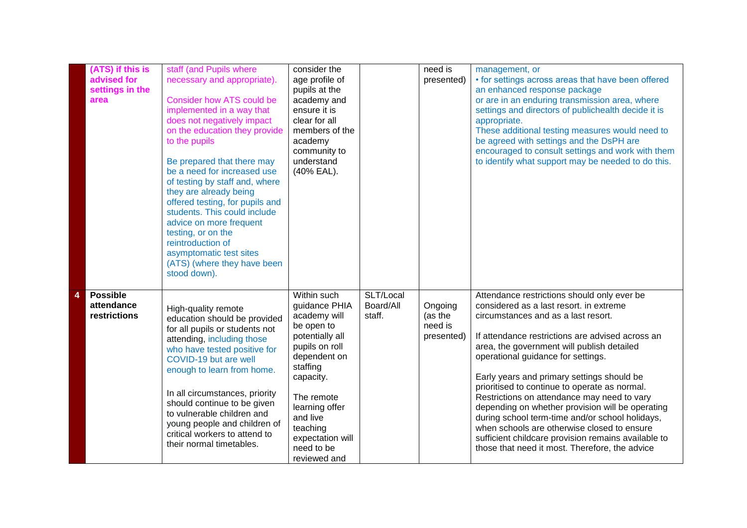| (ATS) if this is<br>advised for<br>settings in the<br>area | staff (and Pupils where<br>necessary and appropriate).<br><b>Consider how ATS could be</b><br>implemented in a way that<br>does not negatively impact<br>on the education they provide<br>to the pupils<br>Be prepared that there may<br>be a need for increased use<br>of testing by staff and, where<br>they are already being<br>offered testing, for pupils and<br>students. This could include<br>advice on more frequent<br>testing, or on the<br>reintroduction of<br>asymptomatic test sites<br>(ATS) (where they have been<br>stood down). | consider the<br>age profile of<br>pupils at the<br>academy and<br>ensure it is<br>clear for all<br>members of the<br>academy<br>community to<br>understand<br>(40% EAL).                                                                           |                                  | $n$ eed is<br>presented)                    | management, or<br>• for settings across areas that have been offered<br>an enhanced response package<br>or are in an enduring transmission area, where<br>settings and directors of publichealth decide it is<br>appropriate.<br>These additional testing measures would need to<br>be agreed with settings and the DsPH are<br>encouraged to consult settings and work with them<br>to identify what support may be needed to do this.                                                                                                                                                                                                                                            |
|------------------------------------------------------------|-----------------------------------------------------------------------------------------------------------------------------------------------------------------------------------------------------------------------------------------------------------------------------------------------------------------------------------------------------------------------------------------------------------------------------------------------------------------------------------------------------------------------------------------------------|----------------------------------------------------------------------------------------------------------------------------------------------------------------------------------------------------------------------------------------------------|----------------------------------|---------------------------------------------|------------------------------------------------------------------------------------------------------------------------------------------------------------------------------------------------------------------------------------------------------------------------------------------------------------------------------------------------------------------------------------------------------------------------------------------------------------------------------------------------------------------------------------------------------------------------------------------------------------------------------------------------------------------------------------|
| <b>Possible</b><br>attendance<br>restrictions              | High-quality remote<br>education should be provided<br>for all pupils or students not<br>attending, including those<br>who have tested positive for<br>COVID-19 but are well<br>enough to learn from home.<br>In all circumstances, priority<br>should continue to be given<br>to vulnerable children and<br>young people and children of<br>critical workers to attend to<br>their normal timetables.                                                                                                                                              | Within such<br>guidance PHIA<br>academy will<br>be open to<br>potentially all<br>pupils on roll<br>dependent on<br>staffing<br>capacity.<br>The remote<br>learning offer<br>and live<br>teaching<br>expectation will<br>need to be<br>reviewed and | SLT/Local<br>Board/All<br>staff. | Ongoing<br>(as the<br>need is<br>presented) | Attendance restrictions should only ever be<br>considered as a last resort. in extreme<br>circumstances and as a last resort.<br>If attendance restrictions are advised across an<br>area, the government will publish detailed<br>operational guidance for settings.<br>Early years and primary settings should be<br>prioritised to continue to operate as normal.<br>Restrictions on attendance may need to vary<br>depending on whether provision will be operating<br>during school term-time and/or school holidays,<br>when schools are otherwise closed to ensure<br>sufficient childcare provision remains available to<br>those that need it most. Therefore, the advice |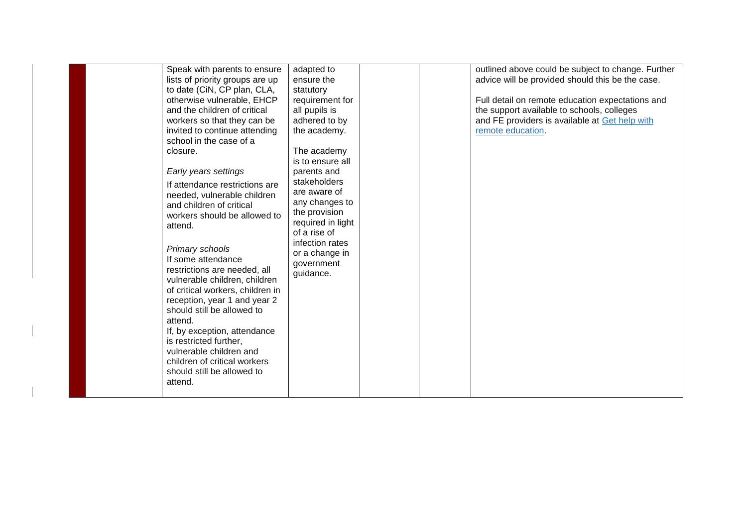| Speak with parents to ensure<br>lists of priority groups are up<br>to date (CiN, CP plan, CLA,<br>otherwise vulnerable, EHCP<br>and the children of critical<br>workers so that they can be<br>invited to continue attending<br>school in the case of a<br>closure.<br>Early years settings                                                                                                                                  | adapted to<br>ensure the<br>statutory<br>requirement for<br>all pupils is<br>adhered to by<br>the academy.<br>The academy<br>is to ensure all<br>parents and |  | outlined above could be subject to change. Further<br>advice will be provided should this be the case.<br>Full detail on remote education expectations and<br>the support available to schools, colleges<br>and FE providers is available at Get help with<br>remote education. |
|------------------------------------------------------------------------------------------------------------------------------------------------------------------------------------------------------------------------------------------------------------------------------------------------------------------------------------------------------------------------------------------------------------------------------|--------------------------------------------------------------------------------------------------------------------------------------------------------------|--|---------------------------------------------------------------------------------------------------------------------------------------------------------------------------------------------------------------------------------------------------------------------------------|
| workers should be allowed to<br>attend.<br>Primary schools<br>If some attendance<br>restrictions are needed, all<br>vulnerable children, children<br>of critical workers, children in<br>reception, year 1 and year 2<br>should still be allowed to<br>attend.<br>If, by exception, attendance<br>is restricted further,<br>vulnerable children and<br>children of critical workers<br>should still be allowed to<br>attend. | the provision<br>required in light<br>of a rise of<br>infection rates<br>or a change in<br>government<br>guidance.                                           |  |                                                                                                                                                                                                                                                                                 |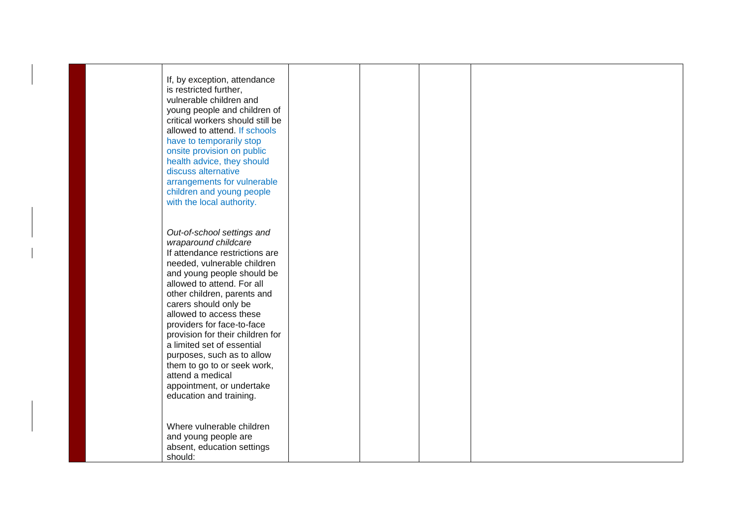| If, by exception, attendance<br>is restricted further,<br>vulnerable children and<br>young people and children of<br>critical workers should still be<br>allowed to attend. If schools<br>have to temporarily stop<br>onsite provision on public<br>health advice, they should<br>discuss alternative<br>arrangements for vulnerable<br>children and young people<br>with the local authority.                                                                                                              |  |  |
|-------------------------------------------------------------------------------------------------------------------------------------------------------------------------------------------------------------------------------------------------------------------------------------------------------------------------------------------------------------------------------------------------------------------------------------------------------------------------------------------------------------|--|--|
| Out-of-school settings and<br>wraparound childcare<br>If attendance restrictions are<br>needed, vulnerable children<br>and young people should be<br>allowed to attend. For all<br>other children, parents and<br>carers should only be<br>allowed to access these<br>providers for face-to-face<br>provision for their children for<br>a limited set of essential<br>purposes, such as to allow<br>them to go to or seek work,<br>attend a medical<br>appointment, or undertake<br>education and training. |  |  |
| Where vulnerable children<br>and young people are<br>absent, education settings<br>should:                                                                                                                                                                                                                                                                                                                                                                                                                  |  |  |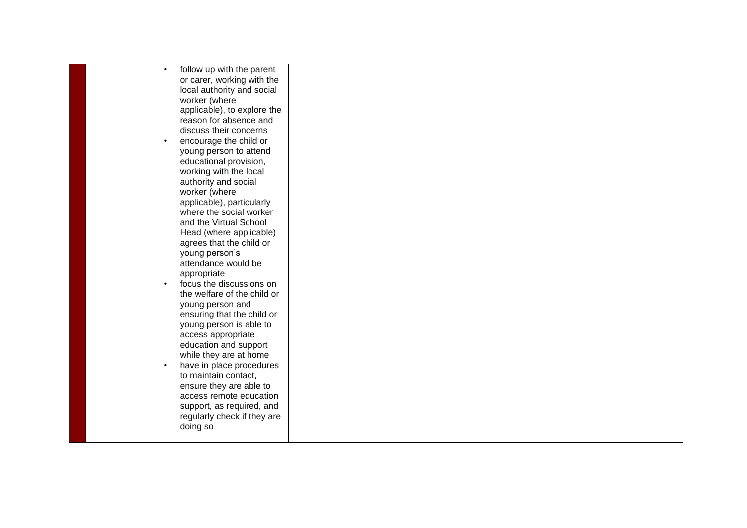| follow up with the parent   |  |  |
|-----------------------------|--|--|
| or carer, working with the  |  |  |
| local authority and social  |  |  |
| worker (where               |  |  |
| applicable), to explore the |  |  |
| reason for absence and      |  |  |
| discuss their concerns      |  |  |
| encourage the child or      |  |  |
| young person to attend      |  |  |
| educational provision,      |  |  |
| working with the local      |  |  |
| authority and social        |  |  |
| worker (where               |  |  |
| applicable), particularly   |  |  |
| where the social worker     |  |  |
| and the Virtual School      |  |  |
| Head (where applicable)     |  |  |
| agrees that the child or    |  |  |
| young person's              |  |  |
| attendance would be         |  |  |
| appropriate                 |  |  |
| focus the discussions on    |  |  |
| the welfare of the child or |  |  |
| young person and            |  |  |
| ensuring that the child or  |  |  |
| young person is able to     |  |  |
| access appropriate          |  |  |
| education and support       |  |  |
| while they are at home      |  |  |
| have in place procedures    |  |  |
| to maintain contact,        |  |  |
| ensure they are able to     |  |  |
| access remote education     |  |  |
| support, as required, and   |  |  |
| regularly check if they are |  |  |
| doing so                    |  |  |
|                             |  |  |
|                             |  |  |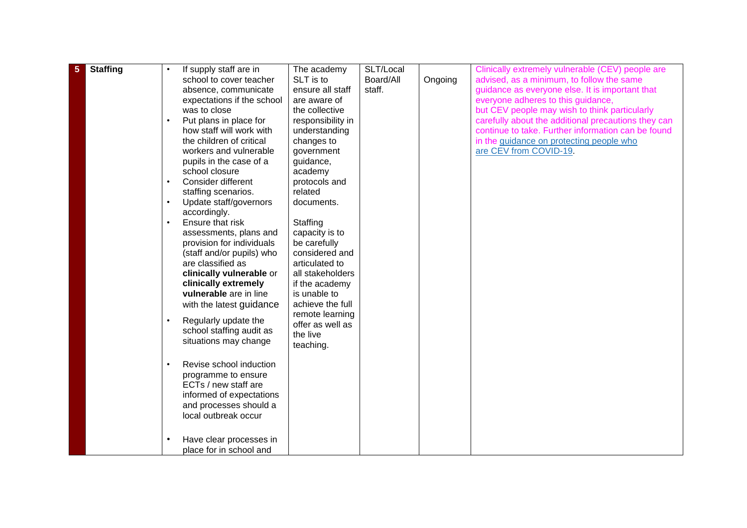| 5 | <b>Staffing</b> |           | If supply staff are in                 | The academy       | SLT/Local |         | Clinically extremely vulnerable (CEV) people are    |
|---|-----------------|-----------|----------------------------------------|-------------------|-----------|---------|-----------------------------------------------------|
|   |                 |           | school to cover teacher                | SLT is to         | Board/All | Ongoing | advised, as a minimum, to follow the same           |
|   |                 |           | absence, communicate                   | ensure all staff  | staff.    |         | guidance as everyone else. It is important that     |
|   |                 |           | expectations if the school             | are aware of      |           |         | everyone adheres to this guidance,                  |
|   |                 |           | was to close                           | the collective    |           |         | but CEV people may wish to think particularly       |
|   |                 |           | Put plans in place for                 | responsibility in |           |         | carefully about the additional precautions they can |
|   |                 |           | how staff will work with               | understanding     |           |         | continue to take. Further information can be found  |
|   |                 |           | the children of critical               | changes to        |           |         | in the guidance on protecting people who            |
|   |                 |           | workers and vulnerable                 | government        |           |         | are CEV from COVID-19.                              |
|   |                 |           | pupils in the case of a                | guidance,         |           |         |                                                     |
|   |                 |           | school closure                         | academy           |           |         |                                                     |
|   |                 | $\bullet$ | Consider different                     | protocols and     |           |         |                                                     |
|   |                 |           |                                        | related           |           |         |                                                     |
|   |                 | $\bullet$ | staffing scenarios.                    | documents.        |           |         |                                                     |
|   |                 |           | Update staff/governors<br>accordingly. |                   |           |         |                                                     |
|   |                 | $\bullet$ | Ensure that risk                       | Staffing          |           |         |                                                     |
|   |                 |           | assessments, plans and                 | capacity is to    |           |         |                                                     |
|   |                 |           | provision for individuals              | be carefully      |           |         |                                                     |
|   |                 |           | (staff and/or pupils) who              | considered and    |           |         |                                                     |
|   |                 |           | are classified as                      | articulated to    |           |         |                                                     |
|   |                 |           | clinically vulnerable or               | all stakeholders  |           |         |                                                     |
|   |                 |           | clinically extremely                   | if the academy    |           |         |                                                     |
|   |                 |           | vulnerable are in line                 | is unable to      |           |         |                                                     |
|   |                 |           | with the latest guidance               | achieve the full  |           |         |                                                     |
|   |                 |           |                                        | remote learning   |           |         |                                                     |
|   |                 |           | Regularly update the                   | offer as well as  |           |         |                                                     |
|   |                 |           | school staffing audit as               | the live          |           |         |                                                     |
|   |                 |           | situations may change                  | teaching.         |           |         |                                                     |
|   |                 |           |                                        |                   |           |         |                                                     |
|   |                 | $\bullet$ | Revise school induction                |                   |           |         |                                                     |
|   |                 |           | programme to ensure                    |                   |           |         |                                                     |
|   |                 |           | ECTs / new staff are                   |                   |           |         |                                                     |
|   |                 |           | informed of expectations               |                   |           |         |                                                     |
|   |                 |           | and processes should a                 |                   |           |         |                                                     |
|   |                 |           | local outbreak occur                   |                   |           |         |                                                     |
|   |                 |           |                                        |                   |           |         |                                                     |
|   |                 |           |                                        |                   |           |         |                                                     |
|   |                 |           | Have clear processes in                |                   |           |         |                                                     |
|   |                 |           | place for in school and                |                   |           |         |                                                     |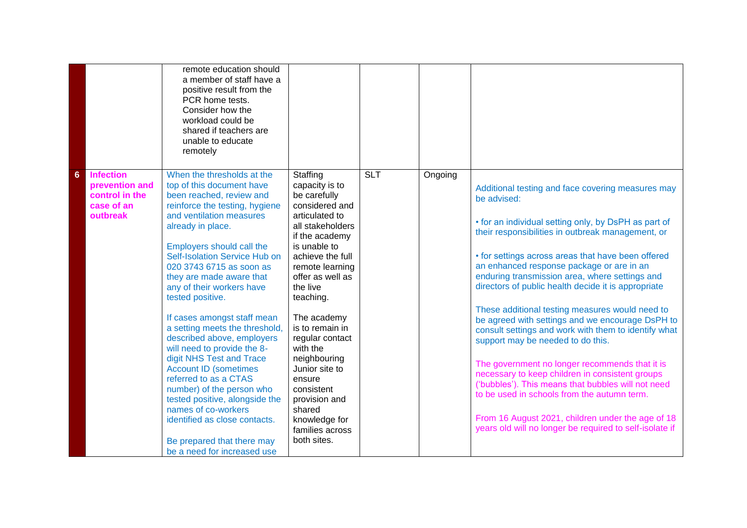|                                                                                                   | remote education should<br>a member of staff have a<br>positive result from the<br>PCR home tests.<br>Consider how the<br>workload could be<br>shared if teachers are<br>unable to educate<br>remotely                                                                                                                                                                                                                                                                                                                                                                                                                                                                                                                                               |                                                                                                                                                                                                                                                                                                                                                                                                                                   |            |         |                                                                                                                                                                                                                                                                                                                                                                                                                                                                                                                                                                                                                                                                                                                                                                                                                                                                                                                         |
|---------------------------------------------------------------------------------------------------|------------------------------------------------------------------------------------------------------------------------------------------------------------------------------------------------------------------------------------------------------------------------------------------------------------------------------------------------------------------------------------------------------------------------------------------------------------------------------------------------------------------------------------------------------------------------------------------------------------------------------------------------------------------------------------------------------------------------------------------------------|-----------------------------------------------------------------------------------------------------------------------------------------------------------------------------------------------------------------------------------------------------------------------------------------------------------------------------------------------------------------------------------------------------------------------------------|------------|---------|-------------------------------------------------------------------------------------------------------------------------------------------------------------------------------------------------------------------------------------------------------------------------------------------------------------------------------------------------------------------------------------------------------------------------------------------------------------------------------------------------------------------------------------------------------------------------------------------------------------------------------------------------------------------------------------------------------------------------------------------------------------------------------------------------------------------------------------------------------------------------------------------------------------------------|
| <b>Infection</b><br>$6\phantom{1}6$<br>prevention and<br>control in the<br>case of an<br>outbreak | When the thresholds at the<br>top of this document have<br>been reached, review and<br>reinforce the testing, hygiene<br>and ventilation measures<br>already in place.<br>Employers should call the<br>Self-Isolation Service Hub on<br>020 3743 6715 as soon as<br>they are made aware that<br>any of their workers have<br>tested positive.<br>If cases amongst staff mean<br>a setting meets the threshold,<br>described above, employers<br>will need to provide the 8-<br>digit NHS Test and Trace<br><b>Account ID (sometimes</b><br>referred to as a CTAS<br>number) of the person who<br>tested positive, alongside the<br>names of co-workers<br>identified as close contacts.<br>Be prepared that there may<br>be a need for increased use | Staffing<br>capacity is to<br>be carefully<br>considered and<br>articulated to<br>all stakeholders<br>if the academy<br>is unable to<br>achieve the full<br>remote learning<br>offer as well as<br>the live<br>teaching.<br>The academy<br>is to remain in<br>regular contact<br>with the<br>neighbouring<br>Junior site to<br>ensure<br>consistent<br>provision and<br>shared<br>knowledge for<br>families across<br>both sites. | <b>SLT</b> | Ongoing | Additional testing and face covering measures may<br>be advised:<br>• for an individual setting only, by DsPH as part of<br>their responsibilities in outbreak management, or<br>• for settings across areas that have been offered<br>an enhanced response package or are in an<br>enduring transmission area, where settings and<br>directors of public health decide it is appropriate<br>These additional testing measures would need to<br>be agreed with settings and we encourage DsPH to<br>consult settings and work with them to identify what<br>support may be needed to do this.<br>The government no longer recommends that it is<br>necessary to keep children in consistent groups<br>('bubbles'). This means that bubbles will not need<br>to be used in schools from the autumn term.<br>From 16 August 2021, children under the age of 18<br>years old will no longer be required to self-isolate if |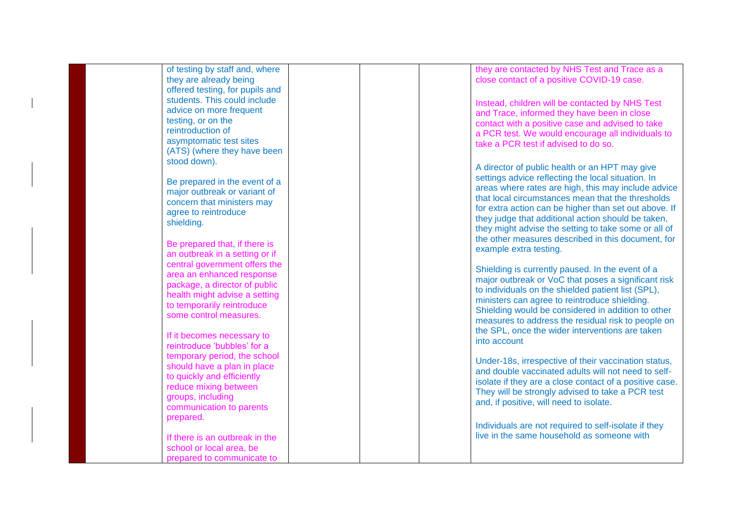| of testing by staff and, where  |  | they are contacted by NHS Test and Trace as a           |
|---------------------------------|--|---------------------------------------------------------|
| they are already being          |  | close contact of a positive COVID-19 case.              |
| offered testing, for pupils and |  |                                                         |
| students. This could include    |  |                                                         |
|                                 |  | Instead, children will be contacted by NHS Test         |
| advice on more frequent         |  | and Trace, informed they have been in close             |
| testing, or on the              |  | contact with a positive case and advised to take        |
| reintroduction of               |  | a PCR test. We would encourage all individuals to       |
| asymptomatic test sites         |  | take a PCR test if advised to do so.                    |
| (ATS) (where they have been     |  |                                                         |
| stood down).                    |  |                                                         |
|                                 |  | A director of public health or an HPT may give          |
| Be prepared in the event of a   |  | settings advice reflecting the local situation. In      |
| major outbreak or variant of    |  | areas where rates are high, this may include advice     |
|                                 |  | that local circumstances mean that the thresholds       |
| concern that ministers may      |  | for extra action can be higher than set out above. If   |
| agree to reintroduce            |  | they judge that additional action should be taken,      |
| shielding.                      |  |                                                         |
|                                 |  | they might advise the setting to take some or all of    |
| Be prepared that, if there is   |  | the other measures described in this document, for      |
| an outbreak in a setting or if  |  | example extra testing.                                  |
| central government offers the   |  |                                                         |
| area an enhanced response       |  | Shielding is currently paused. In the event of a        |
|                                 |  | major outbreak or VoC that poses a significant risk     |
| package, a director of public   |  | to individuals on the shielded patient list (SPL),      |
| health might advise a setting   |  | ministers can agree to reintroduce shielding.           |
| to temporarily reintroduce      |  | Shielding would be considered in addition to other      |
| some control measures.          |  | measures to address the residual risk to people on      |
|                                 |  | the SPL, once the wider interventions are taken         |
| If it becomes necessary to      |  |                                                         |
| reintroduce 'bubbles' for a     |  | into account                                            |
| temporary period, the school    |  |                                                         |
| should have a plan in place     |  | Under-18s, irrespective of their vaccination status,    |
| to quickly and efficiently      |  | and double vaccinated adults will not need to self-     |
| reduce mixing between           |  | isolate if they are a close contact of a positive case. |
|                                 |  | They will be strongly advised to take a PCR test        |
| groups, including               |  | and, if positive, will need to isolate.                 |
| communication to parents        |  |                                                         |
| prepared.                       |  |                                                         |
|                                 |  | Individuals are not required to self-isolate if they    |
| If there is an outbreak in the  |  | live in the same household as someone with              |
| school or local area, be        |  |                                                         |
| prepared to communicate to      |  |                                                         |
|                                 |  |                                                         |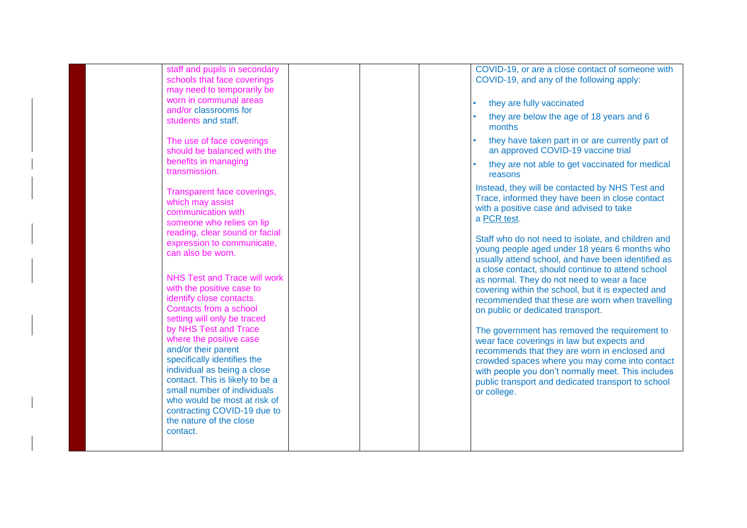| staff and pupils in secondary<br>schools that face coverings   | COVID-19, or are a close contact of someone with<br>COVID-19, and any of the following apply:   |
|----------------------------------------------------------------|-------------------------------------------------------------------------------------------------|
| may need to temporarily be                                     |                                                                                                 |
| worn in communal areas                                         | they are fully vaccinated                                                                       |
| and/or classrooms for                                          | they are below the age of 18 years and 6                                                        |
| students and staff.                                            | months                                                                                          |
| The use of face coverings                                      | they have taken part in or are currently part of                                                |
| should be balanced with the                                    | an approved COVID-19 vaccine trial                                                              |
| benefits in managing<br>transmission.                          | they are not able to get vaccinated for medical                                                 |
|                                                                | reasons                                                                                         |
| Transparent face coverings,                                    | Instead, they will be contacted by NHS Test and                                                 |
| which may assist                                               | Trace, informed they have been in close contact                                                 |
| communication with                                             | with a positive case and advised to take<br>a PCR test.                                         |
| someone who relies on lip                                      |                                                                                                 |
| reading, clear sound or facial<br>expression to communicate,   | Staff who do not need to isolate, and children and                                              |
| can also be worn.                                              | young people aged under 18 years 6 months who                                                   |
|                                                                | usually attend school, and have been identified as                                              |
| <b>NHS Test and Trace will work</b>                            | a close contact, should continue to attend school<br>as normal. They do not need to wear a face |
| with the positive case to                                      | covering within the school, but it is expected and                                              |
| identify close contacts.                                       | recommended that these are worn when travelling                                                 |
| Contacts from a school                                         | on public or dedicated transport.                                                               |
| setting will only be traced<br>by NHS Test and Trace           |                                                                                                 |
| where the positive case                                        | The government has removed the requirement to<br>wear face coverings in law but expects and     |
| and/or their parent                                            | recommends that they are worn in enclosed and                                                   |
| specifically identifies the                                    | crowded spaces where you may come into contact                                                  |
| individual as being a close                                    | with people you don't normally meet. This includes                                              |
| contact. This is likely to be a<br>small number of individuals | public transport and dedicated transport to school                                              |
| who would be most at risk of                                   | or college.                                                                                     |
| contracting COVID-19 due to                                    |                                                                                                 |
| the nature of the close                                        |                                                                                                 |
| contact.                                                       |                                                                                                 |
|                                                                |                                                                                                 |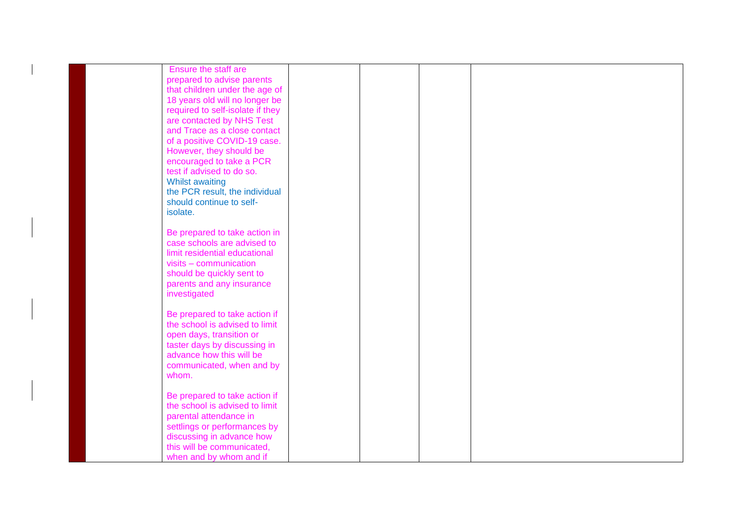| Ensure the staff are             |  |  |
|----------------------------------|--|--|
| prepared to advise parents       |  |  |
| that children under the age of   |  |  |
| 18 years old will no longer be   |  |  |
| required to self-isolate if they |  |  |
| are contacted by NHS Test        |  |  |
| and Trace as a close contact     |  |  |
| of a positive COVID-19 case.     |  |  |
| However, they should be          |  |  |
| encouraged to take a PCR         |  |  |
| test if advised to do so.        |  |  |
| <b>Whilst awaiting</b>           |  |  |
| the PCR result, the individual   |  |  |
| should continue to self-         |  |  |
| isolate.                         |  |  |
|                                  |  |  |
| Be prepared to take action in    |  |  |
| case schools are advised to      |  |  |
| limit residential educational    |  |  |
| $visits - communication$         |  |  |
| should be quickly sent to        |  |  |
| parents and any insurance        |  |  |
| investigated                     |  |  |
|                                  |  |  |
|                                  |  |  |
| Be prepared to take action if    |  |  |
| the school is advised to limit   |  |  |
| open days, transition or         |  |  |
| taster days by discussing in     |  |  |
| advance how this will be         |  |  |
| communicated, when and by        |  |  |
| whom.                            |  |  |
|                                  |  |  |
| Be prepared to take action if    |  |  |
| the school is advised to limit   |  |  |
| parental attendance in           |  |  |
| settlings or performances by     |  |  |
| discussing in advance how        |  |  |
| this will be communicated,       |  |  |
| when and by whom and if          |  |  |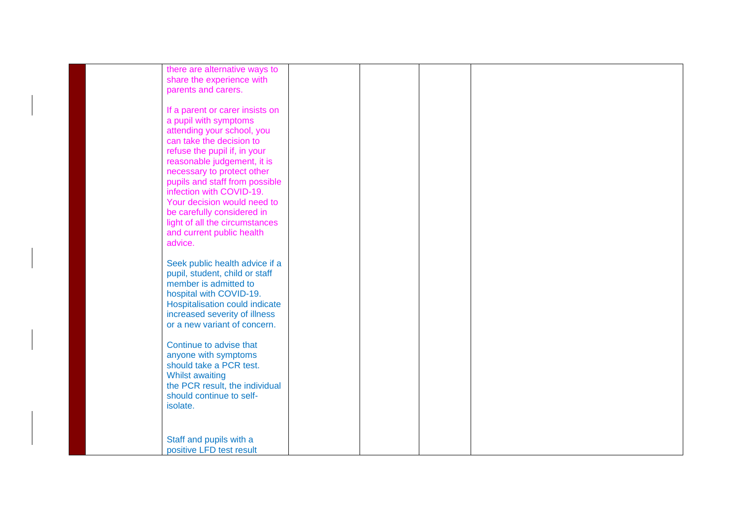| there are alternative ways to   |  |  |
|---------------------------------|--|--|
| share the experience with       |  |  |
| parents and carers.             |  |  |
|                                 |  |  |
| If a parent or carer insists on |  |  |
| a pupil with symptoms           |  |  |
| attending your school, you      |  |  |
| can take the decision to        |  |  |
| refuse the pupil if, in your    |  |  |
| reasonable judgement, it is     |  |  |
| necessary to protect other      |  |  |
| pupils and staff from possible  |  |  |
| infection with COVID-19.        |  |  |
| Your decision would need to     |  |  |
| be carefully considered in      |  |  |
| light of all the circumstances  |  |  |
| and current public health       |  |  |
| advice.                         |  |  |
|                                 |  |  |
| Seek public health advice if a  |  |  |
| pupil, student, child or staff  |  |  |
| member is admitted to           |  |  |
| hospital with COVID-19.         |  |  |
| Hospitalisation could indicate  |  |  |
| increased severity of illness   |  |  |
| or a new variant of concern.    |  |  |
|                                 |  |  |
| Continue to advise that         |  |  |
| anyone with symptoms            |  |  |
| should take a PCR test.         |  |  |
| <b>Whilst awaiting</b>          |  |  |
| the PCR result, the individual  |  |  |
| should continue to self-        |  |  |
| isolate.                        |  |  |
|                                 |  |  |
|                                 |  |  |
|                                 |  |  |
| Staff and pupils with a         |  |  |
| positive LFD test result        |  |  |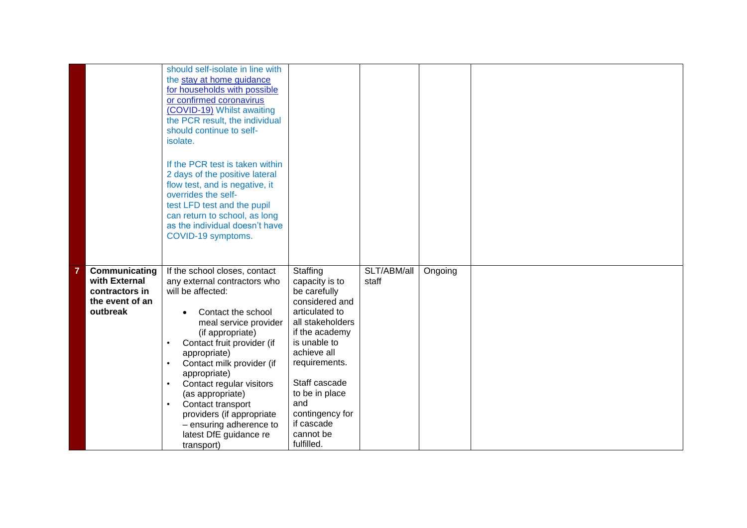|                                                                                 | should self-isolate in line with<br>the stay at home guidance<br>for households with possible<br>or confirmed coronavirus<br>(COVID-19) Whilst awaiting<br>the PCR result, the individual<br>should continue to self-<br>isolate.<br>If the PCR test is taken within<br>2 days of the positive lateral<br>flow test, and is negative, it<br>overrides the self-<br>test LFD test and the pupil                                     |                                                                                                                                                                                                                                                                            |                      |         |  |
|---------------------------------------------------------------------------------|------------------------------------------------------------------------------------------------------------------------------------------------------------------------------------------------------------------------------------------------------------------------------------------------------------------------------------------------------------------------------------------------------------------------------------|----------------------------------------------------------------------------------------------------------------------------------------------------------------------------------------------------------------------------------------------------------------------------|----------------------|---------|--|
|                                                                                 | can return to school, as long<br>as the individual doesn't have<br>COVID-19 symptoms.                                                                                                                                                                                                                                                                                                                                              |                                                                                                                                                                                                                                                                            |                      |         |  |
| Communicating<br>with External<br>contractors in<br>the event of an<br>outbreak | If the school closes, contact<br>any external contractors who<br>will be affected:<br>Contact the school<br>meal service provider<br>(if appropriate)<br>Contact fruit provider (if<br>appropriate)<br>Contact milk provider (if<br>appropriate)<br>Contact regular visitors<br>(as appropriate)<br>Contact transport<br>$\bullet$<br>providers (if appropriate<br>- ensuring adherence to<br>latest DfE guidance re<br>transport) | Staffing<br>capacity is to<br>be carefully<br>considered and<br>articulated to<br>all stakeholders<br>if the academy<br>is unable to<br>achieve all<br>requirements.<br>Staff cascade<br>to be in place<br>and<br>contingency for<br>if cascade<br>cannot be<br>fulfilled. | SLT/ABM/all<br>staff | Ongoing |  |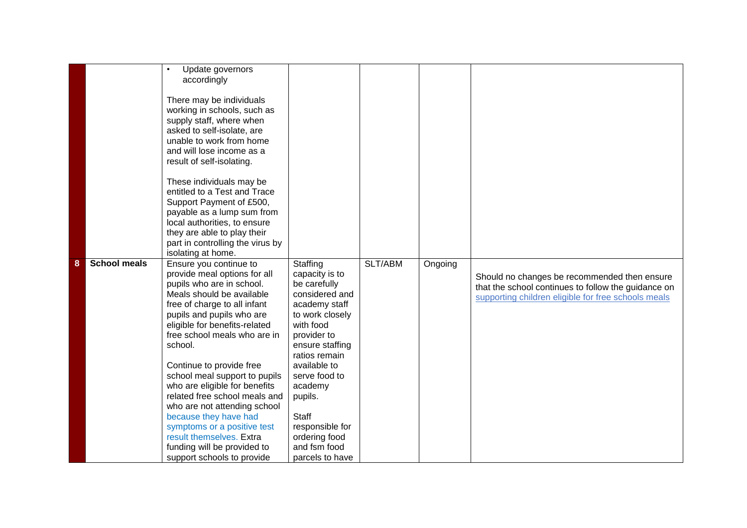|   |                     | Update governors<br>accordingly<br>There may be individuals<br>working in schools, such as<br>supply staff, where when<br>asked to self-isolate, are<br>unable to work from home<br>and will lose income as a<br>result of self-isolating.<br>These individuals may be<br>entitled to a Test and Trace<br>Support Payment of £500,<br>payable as a lump sum from<br>local authorities, to ensure<br>they are able to play their<br>part in controlling the virus by<br>isolating at home.                                                                                 |                                                                                                                                                                                                                                                                                                                |         |         |                                                                                                                                                            |
|---|---------------------|---------------------------------------------------------------------------------------------------------------------------------------------------------------------------------------------------------------------------------------------------------------------------------------------------------------------------------------------------------------------------------------------------------------------------------------------------------------------------------------------------------------------------------------------------------------------------|----------------------------------------------------------------------------------------------------------------------------------------------------------------------------------------------------------------------------------------------------------------------------------------------------------------|---------|---------|------------------------------------------------------------------------------------------------------------------------------------------------------------|
| 8 | <b>School meals</b> | Ensure you continue to<br>provide meal options for all<br>pupils who are in school.<br>Meals should be available<br>free of charge to all infant<br>pupils and pupils who are<br>eligible for benefits-related<br>free school meals who are in<br>school.<br>Continue to provide free<br>school meal support to pupils<br>who are eligible for benefits<br>related free school meals and<br>who are not attending school<br>because they have had<br>symptoms or a positive test<br>result themselves. Extra<br>funding will be provided to<br>support schools to provide | Staffing<br>capacity is to<br>be carefully<br>considered and<br>academy staff<br>to work closely<br>with food<br>provider to<br>ensure staffing<br>ratios remain<br>available to<br>serve food to<br>academy<br>pupils.<br><b>Staff</b><br>responsible for<br>ordering food<br>and fsm food<br>parcels to have | SLT/ABM | Ongoing | Should no changes be recommended then ensure<br>that the school continues to follow the guidance on<br>supporting children eligible for free schools meals |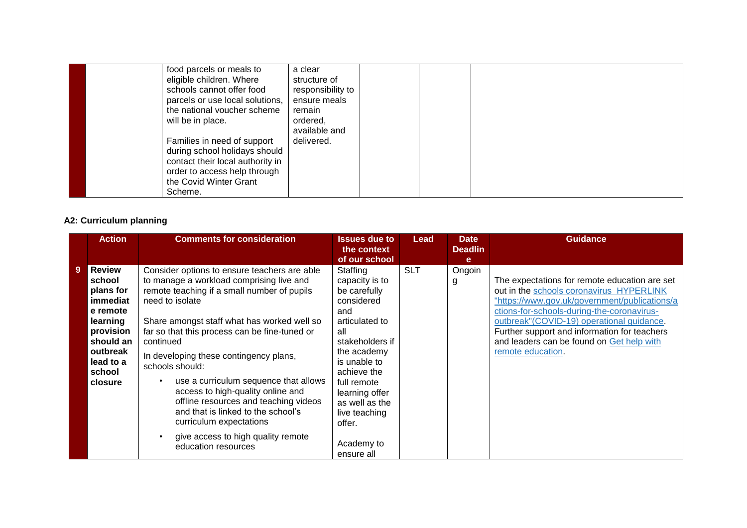| food parcels or meals to         | a clear           |  |  |
|----------------------------------|-------------------|--|--|
| eligible children. Where         | structure of      |  |  |
| schools cannot offer food        | responsibility to |  |  |
| parcels or use local solutions,  | ensure meals      |  |  |
| the national voucher scheme      | remain            |  |  |
| will be in place.                | ordered,          |  |  |
|                                  | available and     |  |  |
| Families in need of support      | delivered.        |  |  |
| during school holidays should    |                   |  |  |
| contact their local authority in |                   |  |  |
| order to access help through     |                   |  |  |
| the Covid Winter Grant           |                   |  |  |
| Scheme.                          |                   |  |  |

### **A2: Curriculum planning**

|                | <b>Action</b>                                                                                                                                    | <b>Comments for consideration</b>                                                                                                                                                                                                                                                                                                                                                                                  | <b>Issues due to</b>                                                                                                                                                                                                       | Lead       | <b>Date</b>                        | <b>Guidance</b>                                                                                                                                                                                                                                                                                                                                          |
|----------------|--------------------------------------------------------------------------------------------------------------------------------------------------|--------------------------------------------------------------------------------------------------------------------------------------------------------------------------------------------------------------------------------------------------------------------------------------------------------------------------------------------------------------------------------------------------------------------|----------------------------------------------------------------------------------------------------------------------------------------------------------------------------------------------------------------------------|------------|------------------------------------|----------------------------------------------------------------------------------------------------------------------------------------------------------------------------------------------------------------------------------------------------------------------------------------------------------------------------------------------------------|
|                |                                                                                                                                                  |                                                                                                                                                                                                                                                                                                                                                                                                                    |                                                                                                                                                                                                                            |            |                                    |                                                                                                                                                                                                                                                                                                                                                          |
| $\overline{9}$ | <b>Review</b><br>school<br>plans for<br>immediat<br>e remote<br>learning<br>provision<br>should an<br>outbreak<br>lead to a<br>school<br>closure | Consider options to ensure teachers are able<br>to manage a workload comprising live and<br>remote teaching if a small number of pupils<br>need to isolate<br>Share amongst staff what has worked well so<br>far so that this process can be fine-tuned or<br>continued<br>In developing these contingency plans,<br>schools should:<br>use a curriculum sequence that allows<br>access to high-quality online and | the context<br>of our school<br>Staffing<br>capacity is to<br>be carefully<br>considered<br>and<br>articulated to<br>all<br>stakeholders if<br>the academy<br>is unable to<br>achieve the<br>full remote<br>learning offer | <b>SLT</b> | <b>Deadlin</b><br>e<br>Ongoin<br>g | The expectations for remote education are set<br>out in the schools coronavirus HYPERLINK<br>"https://www.gov.uk/government/publications/a<br>ctions-for-schools-during-the-coronavirus-<br>outbreak" (COVID-19) operational guidance.<br>Further support and information for teachers<br>and leaders can be found on Get help with<br>remote education. |
|                |                                                                                                                                                  | offline resources and teaching videos<br>and that is linked to the school's<br>curriculum expectations<br>give access to high quality remote<br>education resources                                                                                                                                                                                                                                                | as well as the<br>live teaching<br>offer.<br>Academy to                                                                                                                                                                    |            |                                    |                                                                                                                                                                                                                                                                                                                                                          |
|                |                                                                                                                                                  |                                                                                                                                                                                                                                                                                                                                                                                                                    | ensure all                                                                                                                                                                                                                 |            |                                    |                                                                                                                                                                                                                                                                                                                                                          |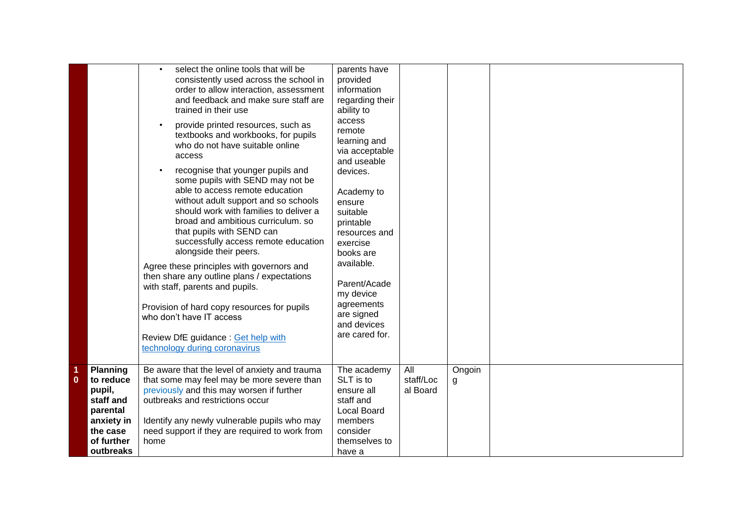|                  |                                                                                                                      | select the online tools that will be<br>consistently used across the school in<br>order to allow interaction, assessment<br>and feedback and make sure staff are<br>trained in their use<br>provide printed resources, such as<br>textbooks and workbooks, for pupils<br>who do not have suitable online<br>access<br>recognise that younger pupils and<br>some pupils with SEND may not be<br>able to access remote education<br>without adult support and so schools<br>should work with families to deliver a<br>broad and ambitious curriculum. so<br>that pupils with SEND can<br>successfully access remote education<br>alongside their peers.<br>Agree these principles with governors and<br>then share any outline plans / expectations<br>with staff, parents and pupils.<br>Provision of hard copy resources for pupils<br>who don't have IT access<br>Review DfE guidance : Get help with<br>technology during coronavirus | parents have<br>provided<br>information<br>regarding their<br>ability to<br>access<br>remote<br>learning and<br>via acceptable<br>and useable<br>devices.<br>Academy to<br>ensure<br>suitable<br>printable<br>resources and<br>exercise<br>books are<br>available.<br>Parent/Acade<br>my device<br>agreements<br>are signed<br>and devices<br>are cared for. |                              |             |  |
|------------------|----------------------------------------------------------------------------------------------------------------------|-----------------------------------------------------------------------------------------------------------------------------------------------------------------------------------------------------------------------------------------------------------------------------------------------------------------------------------------------------------------------------------------------------------------------------------------------------------------------------------------------------------------------------------------------------------------------------------------------------------------------------------------------------------------------------------------------------------------------------------------------------------------------------------------------------------------------------------------------------------------------------------------------------------------------------------------|--------------------------------------------------------------------------------------------------------------------------------------------------------------------------------------------------------------------------------------------------------------------------------------------------------------------------------------------------------------|------------------------------|-------------|--|
| 1<br>$\mathbf 0$ | <b>Planning</b><br>to reduce<br>pupil,<br>staff and<br>parental<br>anxiety in<br>the case<br>of further<br>outbreaks | Be aware that the level of anxiety and trauma<br>that some may feel may be more severe than<br>previously and this may worsen if further<br>outbreaks and restrictions occur<br>Identify any newly vulnerable pupils who may<br>need support if they are required to work from<br>home                                                                                                                                                                                                                                                                                                                                                                                                                                                                                                                                                                                                                                                  | The academy<br>SLT is to<br>ensure all<br>staff and<br><b>Local Board</b><br>members<br>consider<br>themselves to<br>have a                                                                                                                                                                                                                                  | All<br>staff/Loc<br>al Board | Ongoin<br>g |  |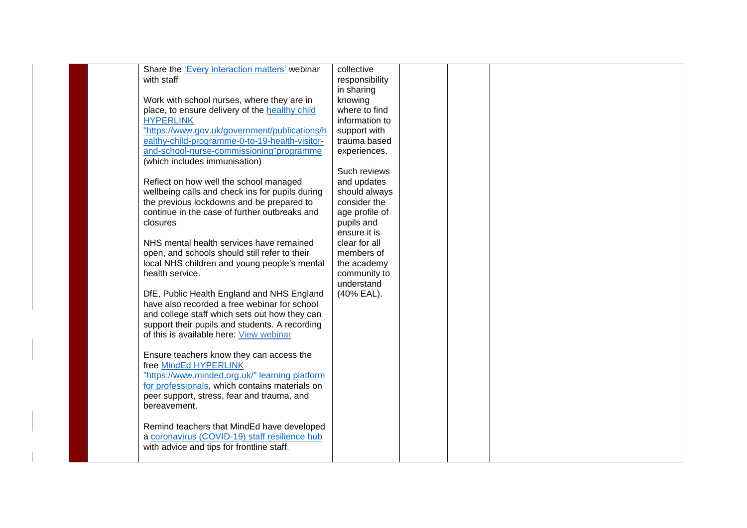| Share the 'Every interaction matters' webinar   | collective     |  |  |
|-------------------------------------------------|----------------|--|--|
| with staff                                      | responsibility |  |  |
|                                                 | in sharing     |  |  |
| Work with school nurses, where they are in      | knowing        |  |  |
| place, to ensure delivery of the healthy child  | where to find  |  |  |
| <b>HYPERLINK</b>                                | information to |  |  |
| "https://www.gov.uk/government/publications/h   | support with   |  |  |
| ealthy-child-programme-0-to-19-health-visitor-  | trauma based   |  |  |
| and-school-nurse-commissioning"programme        | experiences.   |  |  |
| (which includes immunisation)                   |                |  |  |
|                                                 | Such reviews   |  |  |
| Reflect on how well the school managed          | and updates    |  |  |
| wellbeing calls and check ins for pupils during | should always  |  |  |
| the previous lockdowns and be prepared to       | consider the   |  |  |
| continue in the case of further outbreaks and   | age profile of |  |  |
| closures                                        | pupils and     |  |  |
|                                                 | ensure it is   |  |  |
| NHS mental health services have remained        | clear for all  |  |  |
| open, and schools should still refer to their   | members of     |  |  |
| local NHS children and young people's mental    | the academy    |  |  |
| health service.                                 | community to   |  |  |
|                                                 | understand     |  |  |
| DfE, Public Health England and NHS England      | (40% EAL).     |  |  |
| have also recorded a free webinar for school    |                |  |  |
| and college staff which sets out how they can   |                |  |  |
| support their pupils and students. A recording  |                |  |  |
| of this is available here: View webinar         |                |  |  |
|                                                 |                |  |  |
| Ensure teachers know they can access the        |                |  |  |
| free MindEd HYPERLINK                           |                |  |  |
| "https://www.minded.org.uk/" learning platform  |                |  |  |
| for professionals, which contains materials on  |                |  |  |
| peer support, stress, fear and trauma, and      |                |  |  |
| bereavement.                                    |                |  |  |
|                                                 |                |  |  |
| Remind teachers that MindEd have developed      |                |  |  |
| a coronavirus (COVID-19) staff resilience hub   |                |  |  |
| with advice and tips for frontline staff.       |                |  |  |
|                                                 |                |  |  |
|                                                 |                |  |  |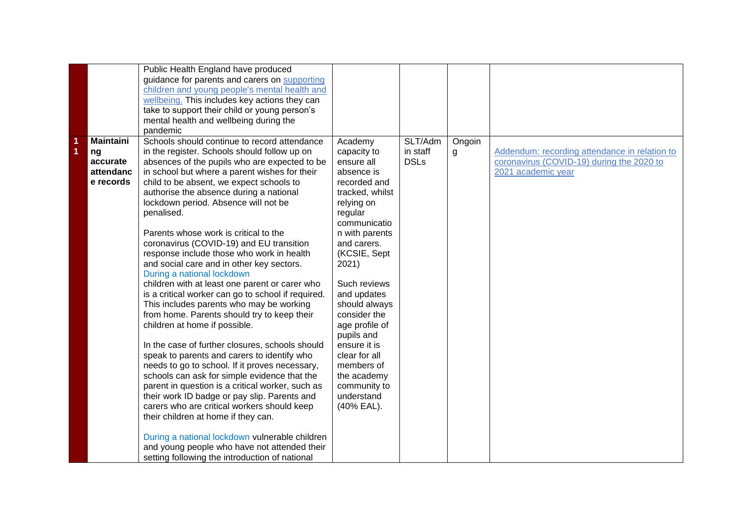| Public Health England have produced<br>guidance for parents and carers on supporting<br>children and young people's mental health and<br>wellbeing. This includes key actions they can<br>take to support their child or young person's |  |
|-----------------------------------------------------------------------------------------------------------------------------------------------------------------------------------------------------------------------------------------|--|
|                                                                                                                                                                                                                                         |  |
|                                                                                                                                                                                                                                         |  |
|                                                                                                                                                                                                                                         |  |
|                                                                                                                                                                                                                                         |  |
| mental health and wellbeing during the                                                                                                                                                                                                  |  |
| pandemic                                                                                                                                                                                                                                |  |
| Schools should continue to record attendance<br>SLT/Adm<br><b>Maintaini</b><br>Academy<br>Ongoin<br>1                                                                                                                                   |  |
| in the register. Schools should follow up on<br>in staff<br>1<br>capacity to<br>Addendum: recording attendance in relation to<br>ng<br>g                                                                                                |  |
| ensure all<br><b>DSLs</b><br>absences of the pupils who are expected to be<br>coronavirus (COVID-19) during the 2020 to<br>accurate                                                                                                     |  |
| in school but where a parent wishes for their<br>absence is<br>2021 academic year<br>attendanc                                                                                                                                          |  |
| child to be absent, we expect schools to<br>recorded and<br>e records                                                                                                                                                                   |  |
| authorise the absence during a national<br>tracked, whilst                                                                                                                                                                              |  |
| lockdown period. Absence will not be<br>relying on                                                                                                                                                                                      |  |
| penalised.<br>regular                                                                                                                                                                                                                   |  |
| communicatio                                                                                                                                                                                                                            |  |
| Parents whose work is critical to the<br>n with parents                                                                                                                                                                                 |  |
| coronavirus (COVID-19) and EU transition<br>and carers.                                                                                                                                                                                 |  |
| (KCSIE, Sept<br>response include those who work in health                                                                                                                                                                               |  |
| and social care and in other key sectors.<br>2021)                                                                                                                                                                                      |  |
| During a national lockdown                                                                                                                                                                                                              |  |
| children with at least one parent or carer who<br>Such reviews                                                                                                                                                                          |  |
| is a critical worker can go to school if required.<br>and updates                                                                                                                                                                       |  |
| This includes parents who may be working<br>should always                                                                                                                                                                               |  |
| from home. Parents should try to keep their<br>consider the                                                                                                                                                                             |  |
| children at home if possible.<br>age profile of                                                                                                                                                                                         |  |
| pupils and                                                                                                                                                                                                                              |  |
| In the case of further closures, schools should<br>ensure it is                                                                                                                                                                         |  |
| speak to parents and carers to identify who<br>clear for all                                                                                                                                                                            |  |
| needs to go to school. If it proves necessary,<br>members of                                                                                                                                                                            |  |
| schools can ask for simple evidence that the<br>the academy                                                                                                                                                                             |  |
| parent in question is a critical worker, such as<br>community to                                                                                                                                                                        |  |
| understand<br>their work ID badge or pay slip. Parents and                                                                                                                                                                              |  |
| carers who are critical workers should keep<br>(40% EAL).                                                                                                                                                                               |  |
| their children at home if they can.                                                                                                                                                                                                     |  |
|                                                                                                                                                                                                                                         |  |
| During a national lockdown vulnerable children                                                                                                                                                                                          |  |
|                                                                                                                                                                                                                                         |  |
| setting following the introduction of national                                                                                                                                                                                          |  |
| and young people who have not attended their                                                                                                                                                                                            |  |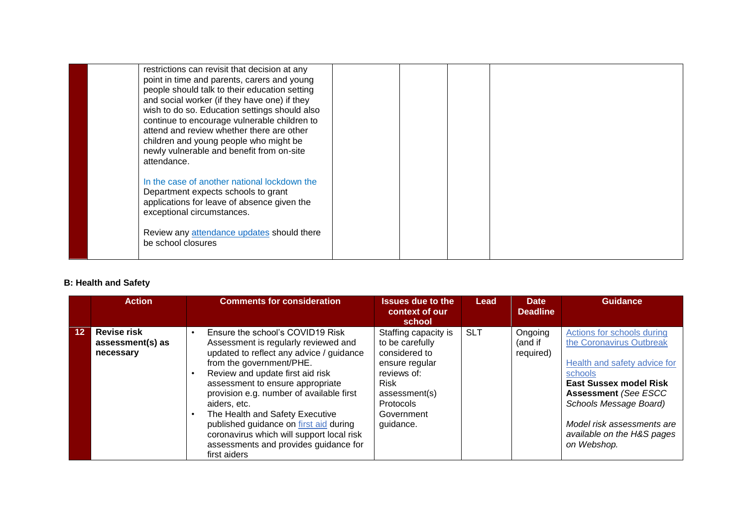| restrictions can revisit that decision at any<br>point in time and parents, carers and young<br>people should talk to their education setting<br>and social worker (if they have one) if they<br>wish to do so. Education settings should also<br>continue to encourage vulnerable children to<br>attend and review whether there are other<br>children and young people who might be<br>newly vulnerable and benefit from on-site<br>attendance. |  |  |
|---------------------------------------------------------------------------------------------------------------------------------------------------------------------------------------------------------------------------------------------------------------------------------------------------------------------------------------------------------------------------------------------------------------------------------------------------|--|--|
| In the case of another national lockdown the<br>Department expects schools to grant<br>applications for leave of absence given the<br>exceptional circumstances.<br>Review any attendance updates should there<br>be school closures                                                                                                                                                                                                              |  |  |

#### **B: Health and Safety**

|    | <b>Action</b>                                       | <b>Comments for consideration</b>                                                                                                                                                                                                                                                                                                                                                                                                                                       | <b>Issues due to the</b><br>context of our<br>school                                                                                                                     | <b>Lead</b> | Date<br><b>Deadline</b>         | <b>Guidance</b>                                                                                                                                                                                                                                                        |
|----|-----------------------------------------------------|-------------------------------------------------------------------------------------------------------------------------------------------------------------------------------------------------------------------------------------------------------------------------------------------------------------------------------------------------------------------------------------------------------------------------------------------------------------------------|--------------------------------------------------------------------------------------------------------------------------------------------------------------------------|-------------|---------------------------------|------------------------------------------------------------------------------------------------------------------------------------------------------------------------------------------------------------------------------------------------------------------------|
| 12 | <b>Revise risk</b><br>assessment(s) as<br>necessary | Ensure the school's COVID19 Risk<br>Assessment is regularly reviewed and<br>updated to reflect any advice / guidance<br>from the government/PHE.<br>Review and update first aid risk<br>assessment to ensure appropriate<br>provision e.g. number of available first<br>aiders, etc.<br>The Health and Safety Executive<br>published guidance on first aid during<br>coronavirus which will support local risk<br>assessments and provides guidance for<br>first aiders | Staffing capacity is<br>to be carefully<br>considered to<br>ensure regular<br>reviews of:<br><b>Risk</b><br>assessment(s)<br><b>Protocols</b><br>Government<br>guidance. | <b>SLT</b>  | Ongoing<br>(and if<br>required) | Actions for schools during<br>the Coronavirus Outbreak<br>Health and safety advice for<br>schools<br><b>East Sussex model Risk</b><br><b>Assessment (See ESCC</b><br>Schools Message Board)<br>Model risk assessments are<br>available on the H&S pages<br>on Webshop. |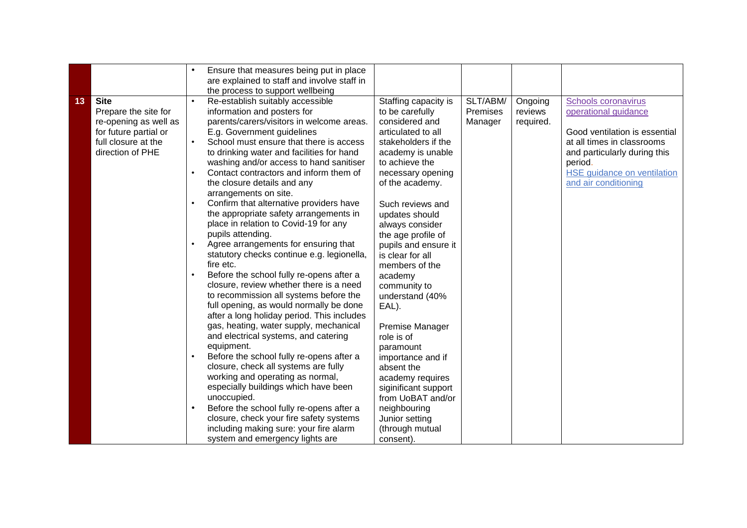|    |                                                                                                                                  | Ensure that measures being put in place<br>are explained to staff and involve staff in                                                                                                                                                                                                                                                                                                                                                                                                                                                                                                                                                                                                                                                                                                                                                                                                                                                                                                                                                                                                                                                                                                                                                                                                                                                                 |                                                                                                                                                                                                                                                                                                                                                                                                                                                                                                                                                                                                               |                                 |                                 |                                                                                                                                                                                                                     |
|----|----------------------------------------------------------------------------------------------------------------------------------|--------------------------------------------------------------------------------------------------------------------------------------------------------------------------------------------------------------------------------------------------------------------------------------------------------------------------------------------------------------------------------------------------------------------------------------------------------------------------------------------------------------------------------------------------------------------------------------------------------------------------------------------------------------------------------------------------------------------------------------------------------------------------------------------------------------------------------------------------------------------------------------------------------------------------------------------------------------------------------------------------------------------------------------------------------------------------------------------------------------------------------------------------------------------------------------------------------------------------------------------------------------------------------------------------------------------------------------------------------|---------------------------------------------------------------------------------------------------------------------------------------------------------------------------------------------------------------------------------------------------------------------------------------------------------------------------------------------------------------------------------------------------------------------------------------------------------------------------------------------------------------------------------------------------------------------------------------------------------------|---------------------------------|---------------------------------|---------------------------------------------------------------------------------------------------------------------------------------------------------------------------------------------------------------------|
| 13 | <b>Site</b><br>Prepare the site for<br>re-opening as well as<br>for future partial or<br>full closure at the<br>direction of PHE | the process to support wellbeing<br>Re-establish suitably accessible<br>information and posters for<br>parents/carers/visitors in welcome areas.<br>E.g. Government guidelines<br>School must ensure that there is access<br>to drinking water and facilities for hand<br>washing and/or access to hand sanitiser<br>Contact contractors and inform them of<br>the closure details and any<br>arrangements on site.<br>Confirm that alternative providers have<br>the appropriate safety arrangements in<br>place in relation to Covid-19 for any<br>pupils attending.<br>Agree arrangements for ensuring that<br>statutory checks continue e.g. legionella,<br>fire etc.<br>Before the school fully re-opens after a<br>closure, review whether there is a need<br>to recommission all systems before the<br>full opening, as would normally be done<br>after a long holiday period. This includes<br>gas, heating, water supply, mechanical<br>and electrical systems, and catering<br>equipment.<br>Before the school fully re-opens after a<br>closure, check all systems are fully<br>working and operating as normal,<br>especially buildings which have been<br>unoccupied.<br>Before the school fully re-opens after a<br>closure, check your fire safety systems<br>including making sure: your fire alarm<br>system and emergency lights are | Staffing capacity is<br>to be carefully<br>considered and<br>articulated to all<br>stakeholders if the<br>academy is unable<br>to achieve the<br>necessary opening<br>of the academy.<br>Such reviews and<br>updates should<br>always consider<br>the age profile of<br>pupils and ensure it<br>is clear for all<br>members of the<br>academy<br>community to<br>understand (40%<br>EAL).<br>Premise Manager<br>role is of<br>paramount<br>importance and if<br>absent the<br>academy requires<br>siginificant support<br>from UoBAT and/or<br>neighbouring<br>Junior setting<br>(through mutual<br>consent). | SLT/ABM/<br>Premises<br>Manager | Ongoing<br>reviews<br>required. | Schools coronavirus<br>operational guidance<br>Good ventilation is essential<br>at all times in classrooms<br>and particularly during this<br>period.<br><b>HSE</b> guidance on ventilation<br>and air conditioning |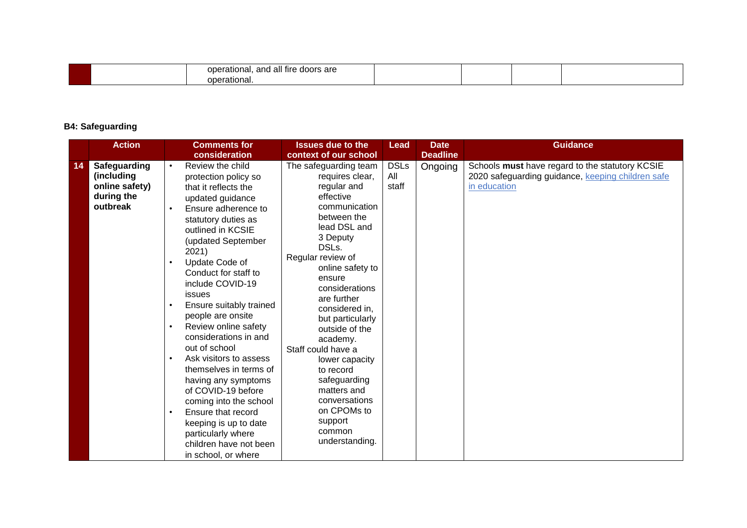|  | . .<br>I fire doors are<br>operational.<br>. and all i |  |  |
|--|--------------------------------------------------------|--|--|
|  | pperational.                                           |  |  |

### **B4: Safeguarding**

| <b>Action</b>                                                                | <b>Comments for</b><br>consideration                                                                                                                                                                                                                                                                                                                                                                                                                                                                                                                                                                                                                                                                                         | <b>Issues due to the</b><br>context of our school                                                                                                                                                                                                                                                                                                                                                                                                                            | <b>Date</b><br>Lead<br><b>Deadline</b> | <b>Guidance</b>                                                                                                      |
|------------------------------------------------------------------------------|------------------------------------------------------------------------------------------------------------------------------------------------------------------------------------------------------------------------------------------------------------------------------------------------------------------------------------------------------------------------------------------------------------------------------------------------------------------------------------------------------------------------------------------------------------------------------------------------------------------------------------------------------------------------------------------------------------------------------|------------------------------------------------------------------------------------------------------------------------------------------------------------------------------------------------------------------------------------------------------------------------------------------------------------------------------------------------------------------------------------------------------------------------------------------------------------------------------|----------------------------------------|----------------------------------------------------------------------------------------------------------------------|
| Safeguarding<br>14<br>(including<br>online safety)<br>during the<br>outbreak | Review the child<br>$\bullet$<br>protection policy so<br>that it reflects the<br>updated guidance<br>Ensure adherence to<br>$\bullet$<br>statutory duties as<br>outlined in KCSIE<br>(updated September<br>2021)<br>Update Code of<br>$\bullet$<br>Conduct for staff to<br>include COVID-19<br>issues<br>Ensure suitably trained<br>$\bullet$<br>people are onsite<br>Review online safety<br>$\bullet$<br>considerations in and<br>out of school<br>Ask visitors to assess<br>$\bullet$<br>themselves in terms of<br>having any symptoms<br>of COVID-19 before<br>coming into the school<br>Ensure that record<br>$\bullet$<br>keeping is up to date<br>particularly where<br>children have not been<br>in school, or where | The safeguarding team<br>All<br>requires clear,<br>regular and<br>staff<br>effective<br>communication<br>between the<br>lead DSL and<br>3 Deputy<br>DSLs.<br>Regular review of<br>online safety to<br>ensure<br>considerations<br>are further<br>considered in,<br>but particularly<br>outside of the<br>academy.<br>Staff could have a<br>lower capacity<br>to record<br>safeguarding<br>matters and<br>conversations<br>on CPOMs to<br>support<br>common<br>understanding. | <b>DSLs</b><br>Ongoing                 | Schools must have regard to the statutory KCSIE<br>2020 safeguarding guidance, keeping children safe<br>in education |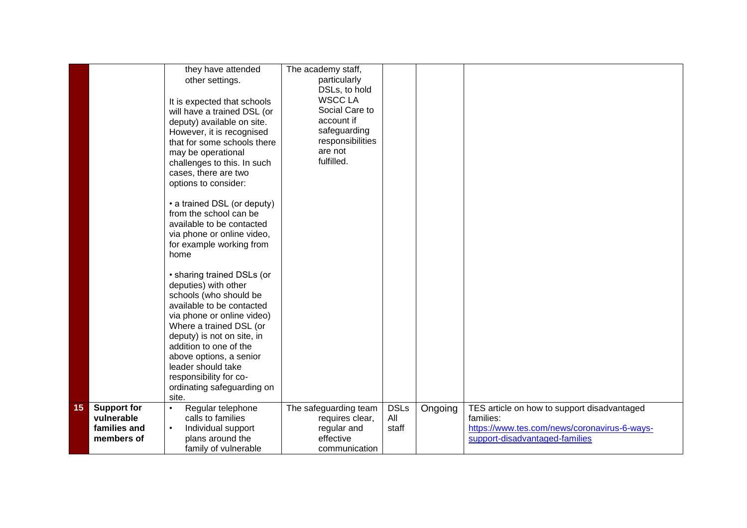|    |                                                                | they have attended<br>other settings.<br>It is expected that schools<br>will have a trained DSL (or<br>deputy) available on site.<br>However, it is recognised<br>that for some schools there<br>may be operational<br>challenges to this. In such<br>cases, there are two<br>options to consider:<br>• a trained DSL (or deputy)<br>from the school can be<br>available to be contacted<br>via phone or online video,<br>for example working from<br>home<br>• sharing trained DSLs (or<br>deputies) with other<br>schools (who should be<br>available to be contacted<br>via phone or online video)<br>Where a trained DSL (or<br>deputy) is not on site, in<br>addition to one of the<br>above options, a senior<br>leader should take<br>responsibility for co-<br>ordinating safeguarding on<br>site. | The academy staff,<br>particularly<br>DSLs, to hold<br><b>WSCC LA</b><br>Social Care to<br>account if<br>safeguarding<br>responsibilities<br>are not<br>fulfilled. |                             |         |                                                                                                                                            |
|----|----------------------------------------------------------------|------------------------------------------------------------------------------------------------------------------------------------------------------------------------------------------------------------------------------------------------------------------------------------------------------------------------------------------------------------------------------------------------------------------------------------------------------------------------------------------------------------------------------------------------------------------------------------------------------------------------------------------------------------------------------------------------------------------------------------------------------------------------------------------------------------|--------------------------------------------------------------------------------------------------------------------------------------------------------------------|-----------------------------|---------|--------------------------------------------------------------------------------------------------------------------------------------------|
| 15 | <b>Support for</b><br>vulnerable<br>families and<br>members of | Regular telephone<br>$\bullet$<br>calls to families<br>Individual support<br>$\bullet$<br>plans around the<br>family of vulnerable                                                                                                                                                                                                                                                                                                                                                                                                                                                                                                                                                                                                                                                                         | The safeguarding team<br>requires clear,<br>regular and<br>effective<br>communication                                                                              | <b>DSLs</b><br>All<br>staff | Ongoing | TES article on how to support disadvantaged<br>families:<br>https://www.tes.com/news/coronavirus-6-ways-<br>support-disadvantaged-families |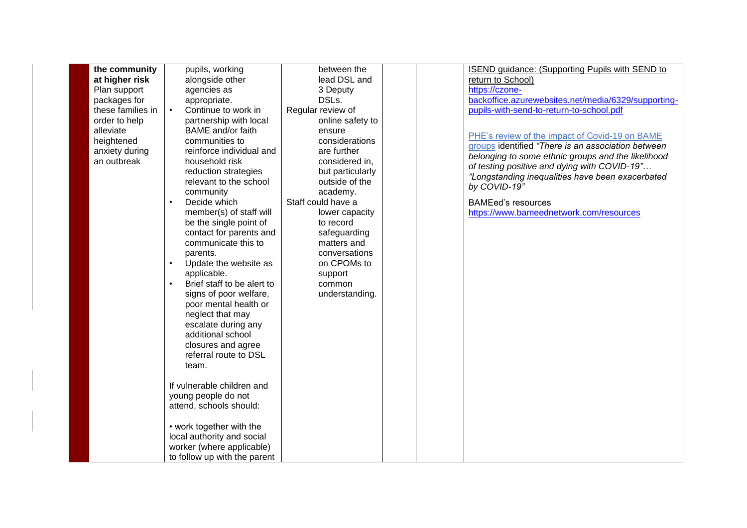| the community     | pupils, working              | between the        | <b>ISEND guidance: (Supporting Pupils with SEND to</b> |
|-------------------|------------------------------|--------------------|--------------------------------------------------------|
| at higher risk    | alongside other              | lead DSL and       | return to School)                                      |
| Plan support      | agencies as                  | 3 Deputy           | https://czone-                                         |
| packages for      | appropriate.                 | DSLs.              | backoffice.azurewebsites.net/media/6329/supporting-    |
| these families in | Continue to work in          | Regular review of  | pupils-with-send-to-return-to-school.pdf               |
| order to help     | partnership with local       | online safety to   |                                                        |
| alleviate         | <b>BAME</b> and/or faith     | ensure             | PHE's review of the impact of Covid-19 on BAME         |
| heightened        | communities to               | considerations     | groups identified "There is an association between     |
| anxiety during    | reinforce individual and     | are further        | belonging to some ethnic groups and the likelihood     |
| an outbreak       | household risk               | considered in,     | of testing positive and dying with COVID-19"           |
|                   | reduction strategies         | but particularly   | "Longstanding inequalities have been exacerbated       |
|                   | relevant to the school       | outside of the     | by COVID-19"                                           |
|                   | community                    | academy.           |                                                        |
|                   | Decide which                 | Staff could have a | <b>BAMEed's resources</b>                              |
|                   | member(s) of staff will      | lower capacity     | https://www.bameednetwork.com/resources                |
|                   | be the single point of       | to record          |                                                        |
|                   | contact for parents and      | safeguarding       |                                                        |
|                   | communicate this to          | matters and        |                                                        |
|                   | parents.                     | conversations      |                                                        |
|                   | Update the website as        | on CPOMs to        |                                                        |
|                   | applicable.                  | support            |                                                        |
|                   | Brief staff to be alert to   | common             |                                                        |
|                   | signs of poor welfare,       | understanding.     |                                                        |
|                   | poor mental health or        |                    |                                                        |
|                   | neglect that may             |                    |                                                        |
|                   | escalate during any          |                    |                                                        |
|                   | additional school            |                    |                                                        |
|                   | closures and agree           |                    |                                                        |
|                   | referral route to DSL        |                    |                                                        |
|                   | team.                        |                    |                                                        |
|                   |                              |                    |                                                        |
|                   | If vulnerable children and   |                    |                                                        |
|                   | young people do not          |                    |                                                        |
|                   | attend, schools should:      |                    |                                                        |
|                   |                              |                    |                                                        |
|                   | • work together with the     |                    |                                                        |
|                   | local authority and social   |                    |                                                        |
|                   | worker (where applicable)    |                    |                                                        |
|                   | to follow up with the parent |                    |                                                        |